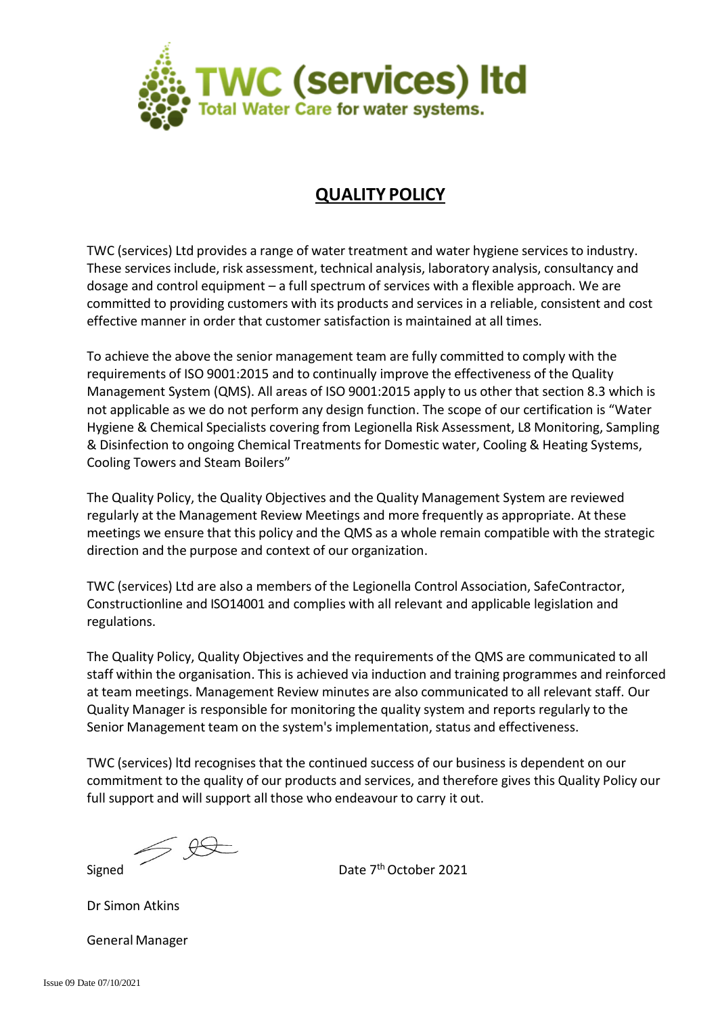

## **QUALITY POLICY**

TWC (services) Ltd provides a range of water treatment and water hygiene services to industry. These services include, risk assessment, technical analysis, laboratory analysis, consultancy and dosage and control equipment – a full spectrum of services with a flexible approach. We are committed to providing customers with its products and services in a reliable, consistent and cost effective manner in order that customer satisfaction is maintained at all times.

To achieve the above the senior management team are fully committed to comply with the requirements of ISO 9001:2015 and to continually improve the effectiveness of the Quality Management System (QMS). All areas of ISO 9001:2015 apply to us other that section 8.3 which is not applicable as we do not perform any design function. The scope of our certification is "Water Hygiene & Chemical Specialists covering from Legionella Risk Assessment, L8 Monitoring, Sampling & Disinfection to ongoing Chemical Treatments for Domestic water, Cooling & Heating Systems, Cooling Towers and Steam Boilers"

The Quality Policy, the Quality Objectives and the Quality Management System are reviewed regularly at the Management Review Meetings and more frequently as appropriate. At these meetings we ensure that this policy and the QMS as a whole remain compatible with the strategic direction and the purpose and context of our organization.

TWC (services) Ltd are also a members of the Legionella Control Association, SafeContractor, Constructionline and ISO14001 and complies with all relevant and applicable legislation and regulations.

The Quality Policy, Quality Objectives and the requirements of the QMS are communicated to all staff within the organisation. This is achieved via induction and training programmes and reinforced at team meetings. Management Review minutes are also communicated to all relevant staff. Our Quality Manager is responsible for monitoring the quality system and reports regularly to the Senior Management team on the system's implementation, status and effectiveness.

TWC (services) ltd recognises that the continued success of our business is dependent on our commitment to the quality of our products and services, and therefore gives this Quality Policy our full support and will support all those who endeavour to carry it out.

 $\leq$  2

Signed **Date 7th October 2021** 

Dr Simon Atkins

General Manager